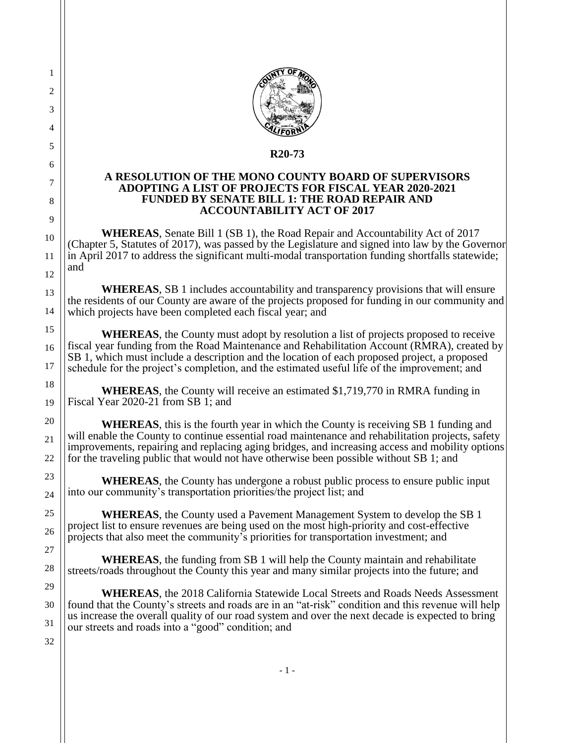

## **R20-73**

## **A RESOLUTION OF THE MONO COUNTY BOARD OF SUPERVISORS ADOPTING A LIST OF PROJECTS FOR FISCAL YEAR 2020-2021 FUNDED BY SENATE BILL 1: THE ROAD REPAIR AND ACCOUNTABILITY ACT OF 2017**

**WHEREAS**, Senate Bill 1 (SB 1), the Road Repair and Accountability Act of 2017 (Chapter 5, Statutes of 2017), was passed by the Legislature and signed into law by the Governor in April 2017 to address the significant multi-modal transportation funding shortfalls statewide; and

**WHEREAS**, SB 1 includes accountability and transparency provisions that will ensure the residents of our County are aware of the projects proposed for funding in our community and which projects have been completed each fiscal year; and

**WHEREAS**, the County must adopt by resolution a list of projects proposed to receive fiscal year funding from the Road Maintenance and Rehabilitation Account (RMRA), created by SB 1, which must include a description and the location of each proposed project, a proposed schedule for the project's completion, and the estimated useful life of the improvement; and

**WHEREAS**, the County will receive an estimated \$1,719,770 in RMRA funding in Fiscal Year 2020-21 from SB 1; and

**WHEREAS**, this is the fourth year in which the County is receiving SB 1 funding and will enable the County to continue essential road maintenance and rehabilitation projects, safety improvements, repairing and replacing aging bridges, and increasing access and mobility options for the traveling public that would not have otherwise been possible without SB 1; and

**WHEREAS**, the County has undergone a robust public process to ensure public input into our community's transportation priorities/the project list; and

**WHEREAS**, the County used a Pavement Management System to develop the SB 1 project list to ensure revenues are being used on the most high-priority and cost-effective projects that also meet the community's priorities for transportation investment; and

**WHEREAS**, the funding from SB 1 will help the County maintain and rehabilitate streets/roads throughout the County this year and many similar projects into the future; and

**WHEREAS**, the 2018 California Statewide Local Streets and Roads Needs Assessment found that the County's streets and roads are in an "at-risk" condition and this revenue will help us increase the overall quality of our road system and over the next decade is expected to bring our streets and roads into a "good" condition; and

32

22

23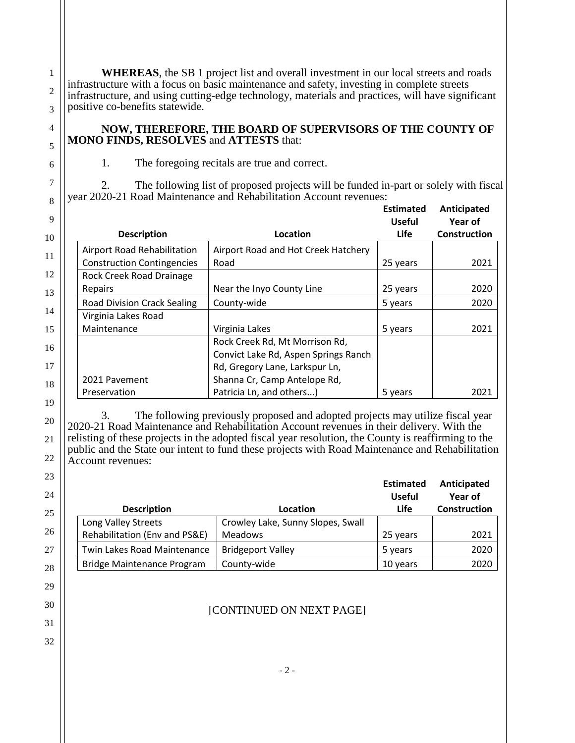**WHEREAS**, the SB 1 project list and overall investment in our local streets and roads infrastructure with a focus on basic maintenance and safety, investing in complete streets infrastructure, and using cutting-edge technology, materials and practices, will have significant positive co-benefits statewide.

**NOW, THEREFORE, THE BOARD OF SUPERVISORS OF THE COUNTY OF MONO FINDS, RESOLVES** and **ATTESTS** that:

1. The foregoing recitals are true and correct.

2. The following list of proposed projects will be funded in-part or solely with fiscal year 2020-21 Road Maintenance and Rehabilitation Account revenues:

|                                    |                                      | <b>Estimated</b><br><b>Useful</b> | Anticipated<br>Year of |
|------------------------------------|--------------------------------------|-----------------------------------|------------------------|
| <b>Description</b>                 | Location                             | <b>Life</b>                       | Construction           |
| Airport Road Rehabilitation        | Airport Road and Hot Creek Hatchery  |                                   |                        |
| <b>Construction Contingencies</b>  | Road                                 | 25 years                          | 2021                   |
| Rock Creek Road Drainage           |                                      |                                   |                        |
| Repairs                            | Near the Inyo County Line            | 25 years                          | 2020                   |
| <b>Road Division Crack Sealing</b> | County-wide                          | 5 years                           | 2020                   |
| Virginia Lakes Road                |                                      |                                   |                        |
| Maintenance                        | Virginia Lakes                       | 5 years                           | 2021                   |
|                                    | Rock Creek Rd, Mt Morrison Rd,       |                                   |                        |
|                                    | Convict Lake Rd, Aspen Springs Ranch |                                   |                        |
|                                    | Rd, Gregory Lane, Larkspur Ln,       |                                   |                        |
| 2021 Pavement                      | Shanna Cr, Camp Antelope Rd,         |                                   |                        |
| Preservation                       | Patricia Ln, and others)             | 5 years                           | 2021                   |

3. The following previously proposed and adopted projects may utilize fiscal year 2020-21 Road Maintenance and Rehabilitation Account revenues in their delivery. With the relisting of these projects in the adopted fiscal year resolution, the County is reaffirming to the public and the State our intent to fund these projects with Road Maintenance and Rehabilitation Account revenues:

| <b>Description</b>            | Location                          | <b>Estimated</b><br><b>Useful</b><br>Life | Anticipated<br>Year of<br>Construction |
|-------------------------------|-----------------------------------|-------------------------------------------|----------------------------------------|
| Long Valley Streets           | Crowley Lake, Sunny Slopes, Swall |                                           |                                        |
| Rehabilitation (Env and PS&E) | <b>Meadows</b>                    | 25 years                                  | 2021                                   |
| Twin Lakes Road Maintenance   | <b>Bridgeport Valley</b>          | 5 years                                   | 2020                                   |
| Bridge Maintenance Program    | County-wide                       | 10 years                                  | 2020                                   |

## [CONTINUED ON NEXT PAGE]

- 2 -

6 7 8

32